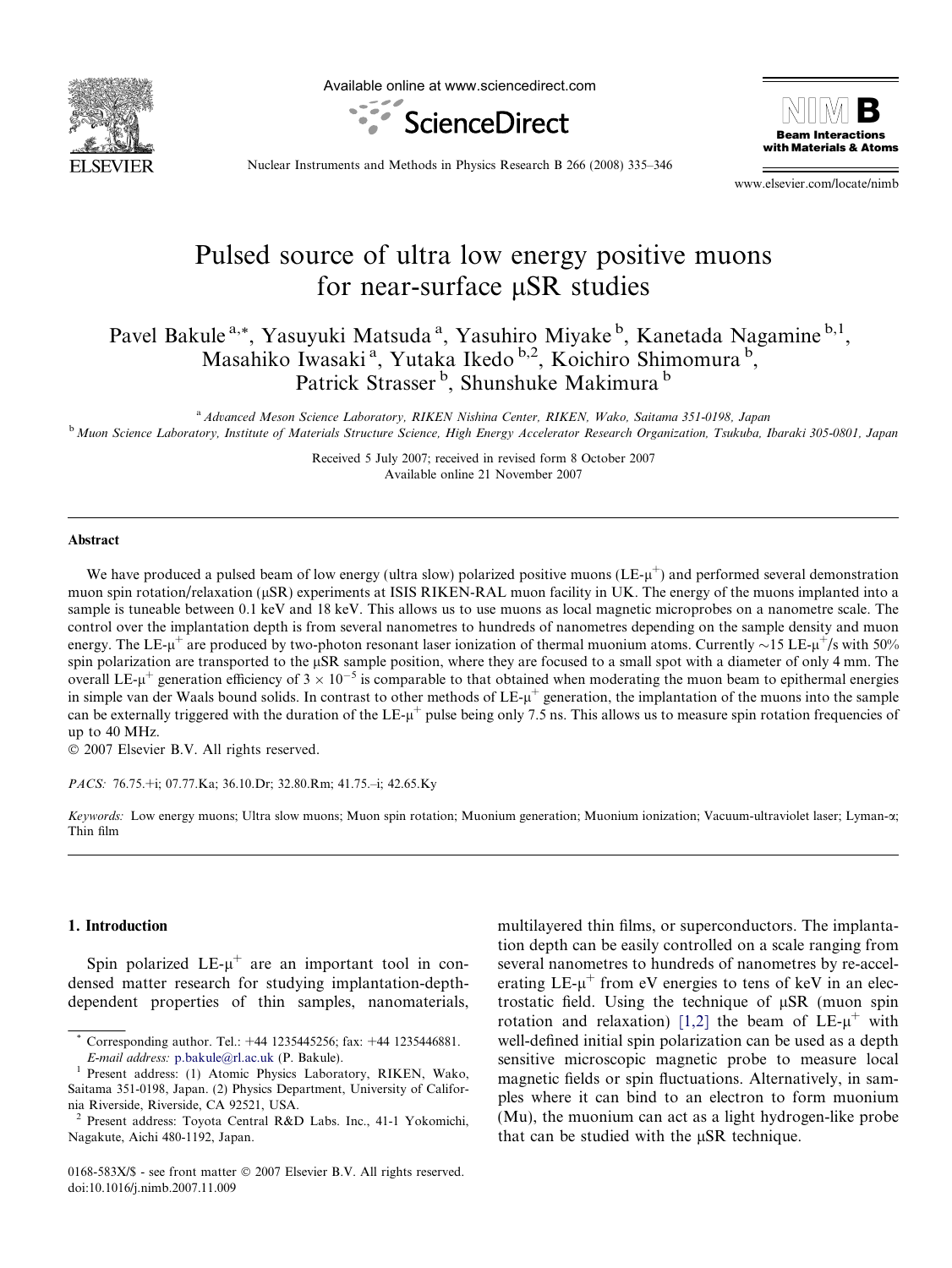

Available online at www.sciencedirect.com





Nuclear Instruments and Methods in Physics Research B 266 (2008) 335–346

www.elsevier.com/locate/nimb

# Pulsed source of ultra low energy positive muons for near-surface uSR studies

Pavel Bakule<sup>a,\*</sup>, Yasuyuki Matsuda<sup>a</sup>, Yasuhiro Miyake<sup>b</sup>, Kanetada Nagamine<sup>b,1</sup>, Masahiko Iwasaki<sup>a</sup>, Yutaka Ikedo <sup>b,2</sup>, Koichiro Shimomura<sup>b</sup>, Patrick Strasser<sup>b</sup>, Shunshuke Makimura<sup>b</sup>

a Advanced Meson Science Laboratory, RIKEN Nishina Center, RIKEN, Wako, Saitama 351-0198, Japan <sup>b</sup> Muon Science Laboratory, Institute of Materials Structure Science, High Energy Accelerator Research Organization, Tsukuba, Ibaraki 305-0801, Japan

> Received 5 July 2007; received in revised form 8 October 2007 Available online 21 November 2007

#### Abstract

We have produced a pulsed beam of low energy (ultra slow) polarized positive muons ( $LE<sub>+</sub>u<sup>+</sup>$ ) and performed several demonstration muon spin rotation/relaxation (µSR) experiments at ISIS RIKEN-RAL muon facility in UK. The energy of the muons implanted into a sample is tuneable between 0.1 keV and 18 keV. This allows us to use muons as local magnetic microprobes on a nanometre scale. The control over the implantation depth is from several nanometres to hundreds of nanometres depending on the sample density and muon energy. The LE- $\mu^+$  are produced by two-photon resonant laser ionization of thermal muonium atoms. Currently  $\sim$ 15 LE- $\mu^+/s$  with 50% spin polarization are transported to the  $\mu$ SR sample position, where they are focused to a small spot with a diameter of only 4 mm. The overall LE- $\mu^+$  generation efficiency of  $3 \times 10^{-5}$  is comparable to that obtained when moderating the muon beam to epithermal energies in simple van der Waals bound solids. In contrast to other methods of  $LE<sub>-u</sub><sup>+</sup>$  generation, the implantation of the muons into the sample can be externally triggered with the duration of the LE- $\mu^+$  pulse being only 7.5 ns. This allows us to measure spin rotation frequencies of up to 40 MHz.

 $© 2007 Elsevier B.V. All rights reserved.$ 

PACS: 76.75.+i; 07.77.Ka; 36.10.Dr; 32.80.Rm; 41.75.–i; 42.65.Ky

Keywords: Low energy muons; Ultra slow muons; Muon spin rotation; Muonium generation; Muonium ionization; Vacuum-ultraviolet laser; Lyman-x; Thin film

# 1. Introduction

Spin polarized  $LE-\mu^+$  are an important tool in condensed matter research for studying implantation-depthdependent properties of thin samples, nanomaterials, multilayered thin films, or superconductors. The implantation depth can be easily controlled on a scale ranging from several nanometres to hundreds of nanometres by re-accelerating  $LE$ - $\mu$ <sup>+</sup> from eV energies to tens of keV in an electrostatic field. Using the technique of  $\mu$ SR (muon spin rotation and relaxation) [\[1,2\]](#page-11-0) the beam of  $LE<sub>-µ</sub><sup>+</sup>$  with well-defined initial spin polarization can be used as a depth sensitive microscopic magnetic probe to measure local magnetic fields or spin fluctuations. Alternatively, in samples where it can bind to an electron to form muonium (Mu), the muonium can act as a light hydrogen-like probe that can be studied with the  $\mu$ SR technique.

Corresponding author. Tel.: +44 1235445256; fax: +44 1235446881.

E-mail address: [p.bakule@rl.ac.uk](mailto:p.bakule@rl.ac.uk) (P. Bakule).<br>Present address: (1) Atomic Physics Laboratory, RIKEN, Wako, Saitama 351-0198, Japan. (2) Physics Department, University of California Riverside, Riverside, CA 92521, USA.

<sup>2</sup> Present address: Toyota Central R&D Labs. Inc., 41-1 Yokomichi, Nagakute, Aichi 480-1192, Japan.

<sup>0168-583</sup>X/\$ - see front matter © 2007 Elsevier B.V. All rights reserved. doi:10.1016/j.nimb.2007.11.009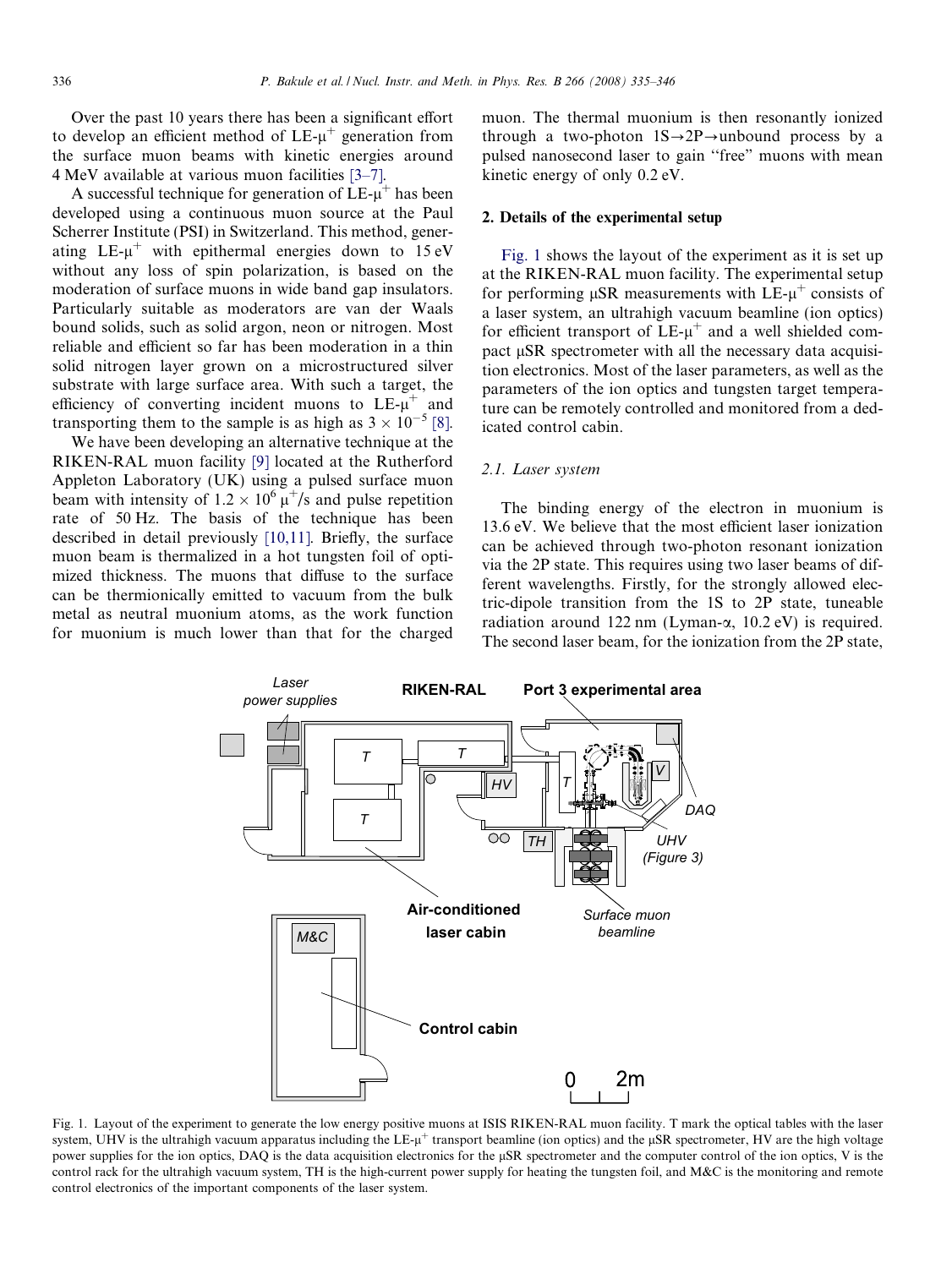Over the past 10 years there has been a significant effort to develop an efficient method of  $LE-\mu^+$  generation from the surface muon beams with kinetic energies around 4 MeV available at various muon facilities [\[3–7\]](#page-11-0).

A successful technique for generation of  $LE-u^+$  has been developed using a continuous muon source at the Paul Scherrer Institute (PSI) in Switzerland. This method, generating  $LE-u^+$  with epithermal energies down to 15 eV without any loss of spin polarization, is based on the moderation of surface muons in wide band gap insulators. Particularly suitable as moderators are van der Waals bound solids, such as solid argon, neon or nitrogen. Most reliable and efficient so far has been moderation in a thin solid nitrogen layer grown on a microstructured silver substrate with large surface area. With such a target, the efficiency of converting incident muons to  $LE<sub>-µ</sub><sup>+</sup>$  and transporting them to the sample is as high as  $3 \times 10^{-5}$  [\[8\]](#page-11-0).

We have been developing an alternative technique at the RIKEN-RAL muon facility [\[9\]](#page-11-0) located at the Rutherford Appleton Laboratory (UK) using a pulsed surface muon beam with intensity of  $1.2 \times 10^6 \mu^+/s$  and pulse repetition rate of 50 Hz. The basis of the technique has been described in detail previously [\[10,11\].](#page-11-0) Briefly, the surface muon beam is thermalized in a hot tungsten foil of optimized thickness. The muons that diffuse to the surface can be thermionically emitted to vacuum from the bulk metal as neutral muonium atoms, as the work function for muonium is much lower than that for the charged

muon. The thermal muonium is then resonantly ionized through a two-photon  $1S \rightarrow 2P \rightarrow$ unbound process by a pulsed nanosecond laser to gain ''free" muons with mean kinetic energy of only 0.2 eV.

### 2. Details of the experimental setup

Fig. 1 shows the layout of the experiment as it is set up at the RIKEN-RAL muon facility. The experimental setup for performing  $\mu$ SR measurements with LE- $\mu^+$  consists of a laser system, an ultrahigh vacuum beamline (ion optics) for efficient transport of  $LE<sub>-µ</sub><sup>+</sup>$  and a well shielded compact  $\mu$ SR spectrometer with all the necessary data acquisition electronics. Most of the laser parameters, as well as the parameters of the ion optics and tungsten target temperature can be remotely controlled and monitored from a dedicated control cabin.

### 2.1. Laser system

The binding energy of the electron in muonium is 13.6 eV. We believe that the most efficient laser ionization can be achieved through two-photon resonant ionization via the 2P state. This requires using two laser beams of different wavelengths. Firstly, for the strongly allowed electric-dipole transition from the 1S to 2P state, tuneable radiation around 122 nm (Lyman- $\alpha$ , 10.2 eV) is required. The second laser beam, for the ionization from the 2P state,



Fig. 1. Layout of the experiment to generate the low energy positive muons at ISIS RIKEN-RAL muon facility. T mark the optical tables with the laser system, UHV is the ultrahigh vacuum apparatus including the  $LE<sub>+</sub>u<sup>+</sup>$  transport beamline (ion optics) and the  $\mu SR$  spectrometer, HV are the high voltage power supplies for the ion optics, DAQ is the data acquisition electronics for the lSR spectrometer and the computer control of the ion optics, V is the control rack for the ultrahigh vacuum system, TH is the high-current power supply for heating the tungsten foil, and M&C is the monitoring and remote control electronics of the important components of the laser system.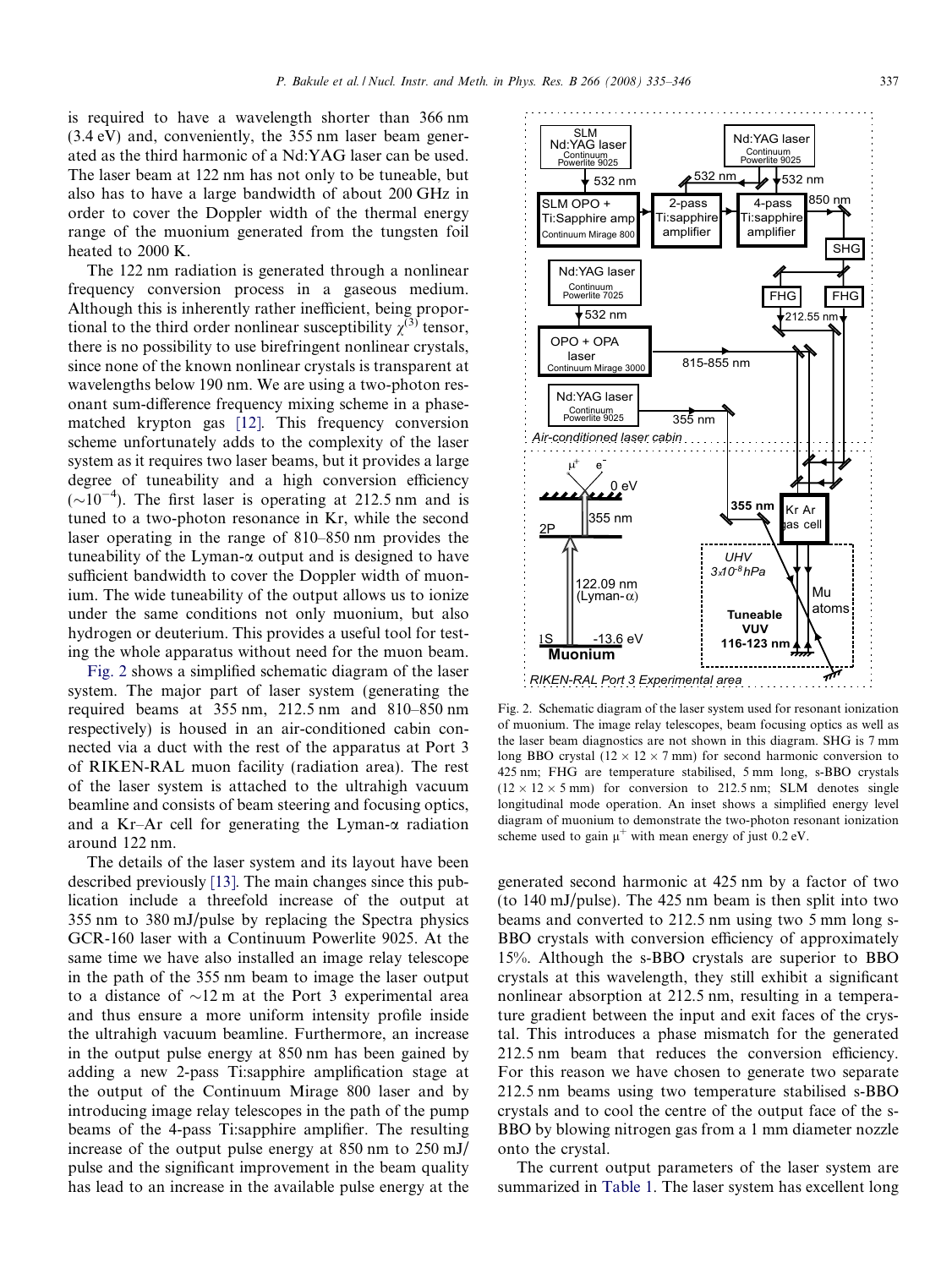is required to have a wavelength shorter than 366 nm (3.4 eV) and, conveniently, the 355 nm laser beam generated as the third harmonic of a Nd:YAG laser can be used. The laser beam at 122 nm has not only to be tuneable, but also has to have a large bandwidth of about 200 GHz in order to cover the Doppler width of the thermal energy range of the muonium generated from the tungsten foil heated to 2000 K.

The 122 nm radiation is generated through a nonlinear frequency conversion process in a gaseous medium. Although this is inherently rather inefficient, being proportional to the third order nonlinear susceptibility  $\gamma^{(3)}$  tensor, there is no possibility to use birefringent nonlinear crystals, since none of the known nonlinear crystals is transparent at wavelengths below 190 nm. We are using a two-photon resonant sum-difference frequency mixing scheme in a phasematched krypton gas [\[12\]](#page-11-0). This frequency conversion scheme unfortunately adds to the complexity of the laser system as it requires two laser beams, but it provides a large degree of tuneability and a high conversion efficiency  $(\sim 10^{-4})$ . The first laser is operating at 212.5 nm and is tuned to a two-photon resonance in Kr, while the second laser operating in the range of 810–850 nm provides the tuneability of the Lyman- $\alpha$  output and is designed to have sufficient bandwidth to cover the Doppler width of muonium. The wide tuneability of the output allows us to ionize under the same conditions not only muonium, but also hydrogen or deuterium. This provides a useful tool for testing the whole apparatus without need for the muon beam.

Fig. 2 shows a simplified schematic diagram of the laser system. The major part of laser system (generating the required beams at 355 nm, 212.5 nm and 810–850 nm respectively) is housed in an air-conditioned cabin connected via a duct with the rest of the apparatus at Port 3 of RIKEN-RAL muon facility (radiation area). The rest of the laser system is attached to the ultrahigh vacuum beamline and consists of beam steering and focusing optics, and a Kr–Ar cell for generating the Lyman- $\alpha$  radiation around 122 nm.

The details of the laser system and its layout have been described previously [\[13\]](#page-11-0). The main changes since this publication include a threefold increase of the output at 355 nm to 380 mJ/pulse by replacing the Spectra physics GCR-160 laser with a Continuum Powerlite 9025. At the same time we have also installed an image relay telescope in the path of the 355 nm beam to image the laser output to a distance of  $\sim$ 12 m at the Port 3 experimental area and thus ensure a more uniform intensity profile inside the ultrahigh vacuum beamline. Furthermore, an increase in the output pulse energy at 850 nm has been gained by adding a new 2-pass Ti:sapphire amplification stage at the output of the Continuum Mirage 800 laser and by introducing image relay telescopes in the path of the pump beams of the 4-pass Ti:sapphire amplifier. The resulting increase of the output pulse energy at 850 nm to 250 mJ/ pulse and the significant improvement in the beam quality has lead to an increase in the available pulse energy at the Fig. 2. Schematic diagram of the laser system used for resonant ionization of muonium. The image relay telescopes, beam focusing optics as well as the laser beam diagnostics are not shown in this diagram. SHG is 7 mm long BBO crystal ( $12 \times 12 \times 7$  mm) for second harmonic conversion to 425 nm; FHG are temperature stabilised, 5 mm long, s-BBO crystals  $(12 \times 12 \times 5 \text{ mm})$  for conversion to 212.5 nm; SLM denotes single longitudinal mode operation. An inset shows a simplified energy level diagram of muonium to demonstrate the two-photon resonant ionization scheme used to gain  $\mu^+$  with mean energy of just 0.2 eV.

generated second harmonic at 425 nm by a factor of two (to 140 mJ/pulse). The 425 nm beam is then split into two beams and converted to 212.5 nm using two 5 mm long s-BBO crystals with conversion efficiency of approximately 15%. Although the s-BBO crystals are superior to BBO crystals at this wavelength, they still exhibit a significant nonlinear absorption at 212.5 nm, resulting in a temperature gradient between the input and exit faces of the crystal. This introduces a phase mismatch for the generated 212.5 nm beam that reduces the conversion efficiency. For this reason we have chosen to generate two separate 212.5 nm beams using two temperature stabilised s-BBO crystals and to cool the centre of the output face of the s-BBO by blowing nitrogen gas from a 1 mm diameter nozzle onto the crystal.

The current output parameters of the laser system are summarized in [Table 1.](#page-3-0) The laser system has excellent long

*RIKEN-RAL Port 3 Experimental area*

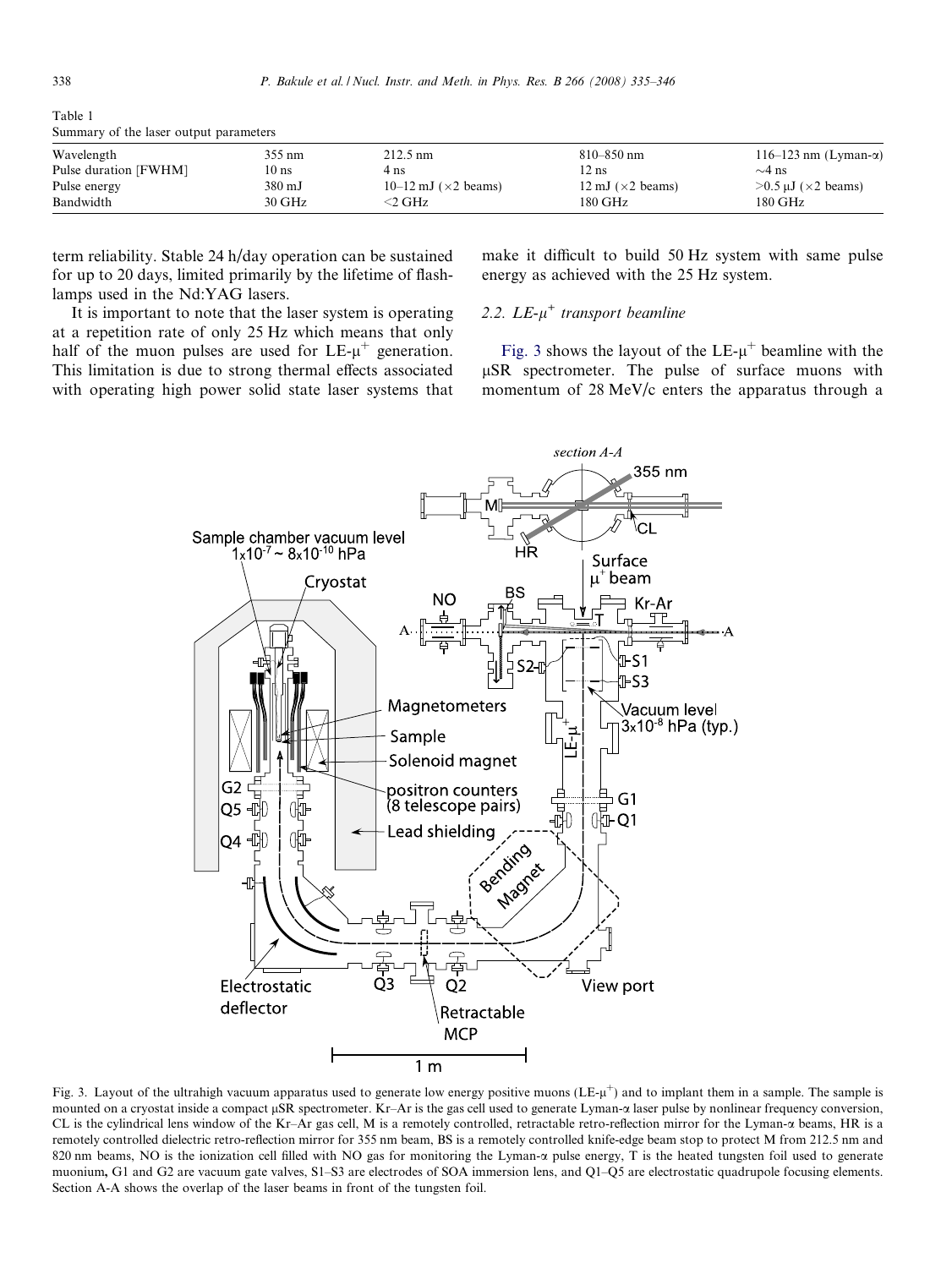<span id="page-3-0"></span>

| Table 1 |  |                                        |
|---------|--|----------------------------------------|
|         |  | Summary of the laser output parameters |

| Wavelength            | 355 nm | $212.5 \text{ nm}$                  | $810 - 850$ nm                   | 116–123 nm (Lyman- $\alpha$ )    |
|-----------------------|--------|-------------------------------------|----------------------------------|----------------------------------|
| Pulse duration [FWHM] | 10 ns  | 4 ns                                | $2$ ns                           | $\sim$ 4 ns                      |
| Pulse energy          | 380 mJ | 10–12 mJ $(\times 2 \text{ beams})$ | 12 mJ $(\times 2 \text{ beams})$ | $>0.5 \mu J$ ( $\times 2$ beams) |
| Bandwidth             | 30 GHz | 2 GHz                               | 180 GHz                          | 180 GHz                          |

term reliability. Stable 24 h/day operation can be sustained for up to 20 days, limited primarily by the lifetime of flashlamps used in the Nd:YAG lasers.

It is important to note that the laser system is operating at a repetition rate of only 25 Hz which means that only half of the muon pulses are used for  $LE-\mu^+$  generation. This limitation is due to strong thermal effects associated with operating high power solid state laser systems that make it difficult to build 50 Hz system with same pulse energy as achieved with the 25 Hz system.

# 2.2.  $LE-\mu^+$  transport beamline

Fig. 3 shows the layout of the  $LE$ - $\mu^+$  beamline with the lSR spectrometer. The pulse of surface muons with momentum of 28 MeV/c enters the apparatus through a



Fig. 3. Layout of the ultrahigh vacuum apparatus used to generate low energy positive muons (LE- $\mu$ <sup>+</sup>) and to implant them in a sample. The sample is mounted on a cryostat inside a compact  $\mu$ SR spectrometer. Kr–Ar is the gas cell used to generate Lyman- $\alpha$  laser pulse by nonlinear frequency conversion, CL is the cylindrical lens window of the Kr–Ar gas cell, M is a remotely controlled, retractable retro-reflection mirror for the Lyman- $\alpha$  beams, HR is a remotely controlled dielectric retro-reflection mirror for 355 nm beam, BS is a remotely controlled knife-edge beam stop to protect M from 212.5 nm and 820 nm beams, NO is the ionization cell filled with NO gas for monitoring the Lyman- $\alpha$  pulse energy, T is the heated tungsten foil used to generate muonium, G1 and G2 are vacuum gate valves, S1–S3 are electrodes of SOA immersion lens, and O1–O5 are electrostatic quadrupole focusing elements. Section A-A shows the overlap of the laser beams in front of the tungsten foil.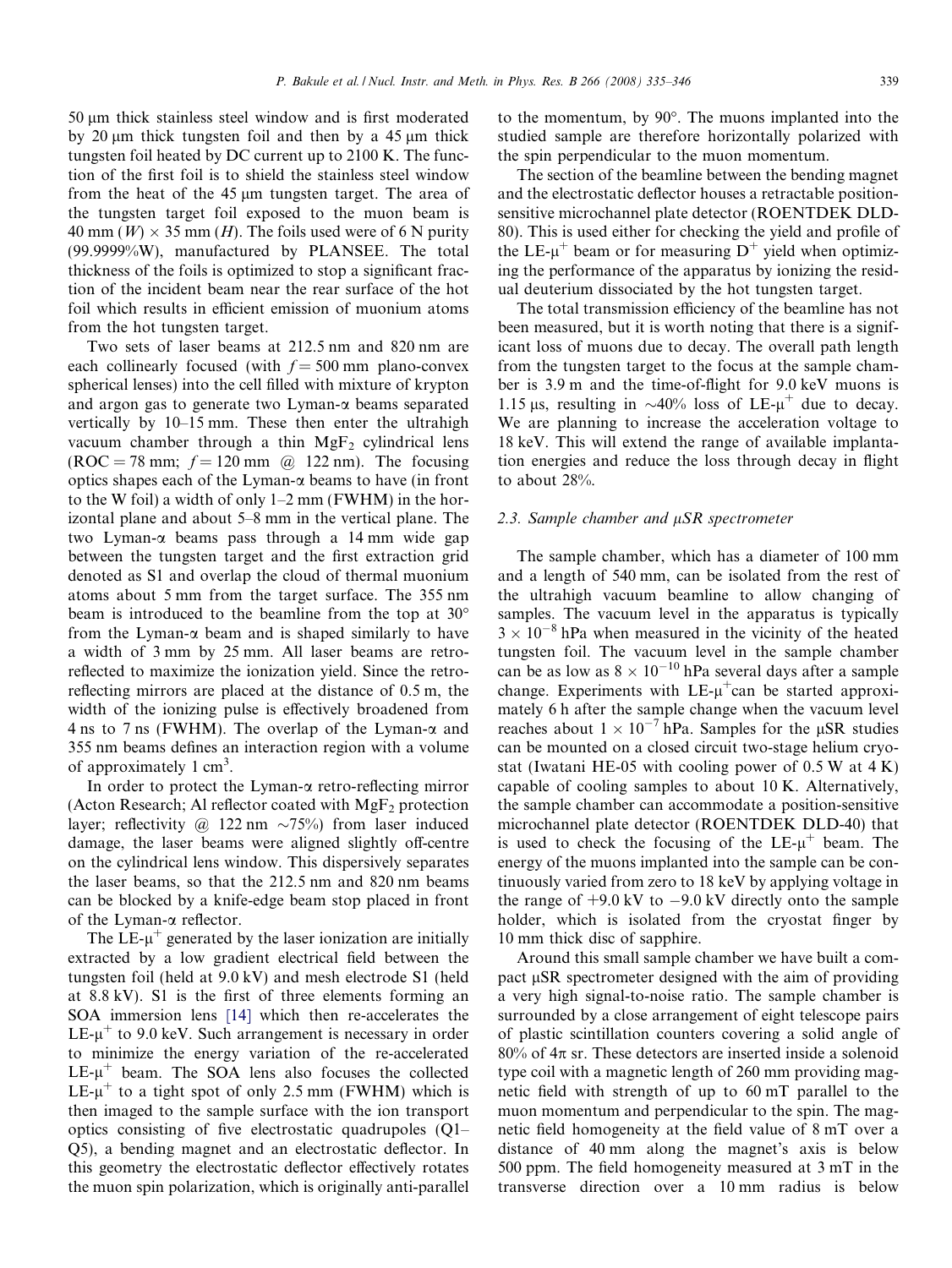50 lm thick stainless steel window and is first moderated by 20  $\mu$ m thick tungsten foil and then by a 45  $\mu$ m thick tungsten foil heated by DC current up to 2100 K. The function of the first foil is to shield the stainless steel window from the heat of the  $45 \mu m$  tungsten target. The area of the tungsten target foil exposed to the muon beam is 40 mm (W)  $\times$  35 mm (H). The foils used were of 6 N purity (99.9999%W), manufactured by PLANSEE. The total thickness of the foils is optimized to stop a significant fraction of the incident beam near the rear surface of the hot foil which results in efficient emission of muonium atoms from the hot tungsten target.

Two sets of laser beams at 212.5 nm and 820 nm are each collinearly focused (with  $f = 500$  mm plano-convex spherical lenses) into the cell filled with mixture of krypton and argon gas to generate two Lyman- $\alpha$  beams separated vertically by 10–15 mm. These then enter the ultrahigh vacuum chamber through a thin  $MgF<sub>2</sub>$  cylindrical lens  $(ROC = 78$  mm;  $f = 120$  mm @ 122 nm). The focusing optics shapes each of the Lyman- $\alpha$  beams to have (in front to the W foil) a width of only 1–2 mm (FWHM) in the horizontal plane and about 5–8 mm in the vertical plane. The two Lyman-a beams pass through a 14 mm wide gap between the tungsten target and the first extraction grid denoted as S1 and overlap the cloud of thermal muonium atoms about 5 mm from the target surface. The 355 nm beam is introduced to the beamline from the top at 30 from the Lyman- $\alpha$  beam and is shaped similarly to have a width of 3 mm by 25 mm. All laser beams are retroreflected to maximize the ionization yield. Since the retroreflecting mirrors are placed at the distance of 0.5 m, the width of the ionizing pulse is effectively broadened from 4 ns to 7 ns (FWHM). The overlap of the Lyman- $\alpha$  and 355 nm beams defines an interaction region with a volume of approximately  $1 \text{ cm}^3$ .

In order to protect the Lyman- $\alpha$  retro-reflecting mirror (Acton Research; Al reflector coated with  $MgF_2$  protection layer; reflectivity @ 122 nm  $\sim 75\%$ ) from laser induced damage, the laser beams were aligned slightly off-centre on the cylindrical lens window. This dispersively separates the laser beams, so that the 212.5 nm and 820 nm beams can be blocked by a knife-edge beam stop placed in front of the Lyman- $\alpha$  reflector.

The LE- $\mu^+$  generated by the laser ionization are initially extracted by a low gradient electrical field between the tungsten foil (held at 9.0 kV) and mesh electrode S1 (held at 8.8 kV). S1 is the first of three elements forming an SOA immersion lens [\[14\]](#page-11-0) which then re-accelerates the LE- $\mu^+$  to 9.0 keV. Such arrangement is necessary in order to minimize the energy variation of the re-accelerated  $LE-\mu^+$  beam. The SOA lens also focuses the collected LE- $\mu^+$  to a tight spot of only 2.5 mm (FWHM) which is then imaged to the sample surface with the ion transport optics consisting of five electrostatic quadrupoles (Q1– Q5), a bending magnet and an electrostatic deflector. In this geometry the electrostatic deflector effectively rotates the muon spin polarization, which is originally anti-parallel to the momentum, by  $90^\circ$ . The muons implanted into the studied sample are therefore horizontally polarized with the spin perpendicular to the muon momentum.

The section of the beamline between the bending magnet and the electrostatic deflector houses a retractable positionsensitive microchannel plate detector (ROENTDEK DLD-80). This is used either for checking the yield and profile of the LE- $\mu^+$  beam or for measuring  $D^+$  yield when optimizing the performance of the apparatus by ionizing the residual deuterium dissociated by the hot tungsten target.

The total transmission efficiency of the beamline has not been measured, but it is worth noting that there is a significant loss of muons due to decay. The overall path length from the tungsten target to the focus at the sample chamber is 3.9 m and the time-of-flight for 9.0 keV muons is 1.15 µs, resulting in  $\sim$ 40% loss of LE- $\mu$ <sup>+</sup> due to decay. We are planning to increase the acceleration voltage to 18 keV. This will extend the range of available implantation energies and reduce the loss through decay in flight to about 28%.

### 2.3. Sample chamber and  $\mu SR$  spectrometer

The sample chamber, which has a diameter of 100 mm and a length of 540 mm, can be isolated from the rest of the ultrahigh vacuum beamline to allow changing of samples. The vacuum level in the apparatus is typically  $3 \times 10^{-8}$  hPa when measured in the vicinity of the heated tungsten foil. The vacuum level in the sample chamber can be as low as  $8 \times 10^{-10}$  hPa several days after a sample change. Experiments with  $LE<sub>+</sub>u<sup>+</sup>$ can be started approximately 6 h after the sample change when the vacuum level reaches about  $1 \times 10^{-7}$  hPa. Samples for the µSR studies can be mounted on a closed circuit two-stage helium cryostat (Iwatani HE-05 with cooling power of  $0.5 W$  at  $4 K$ ) capable of cooling samples to about 10 K. Alternatively, the sample chamber can accommodate a position-sensitive microchannel plate detector (ROENTDEK DLD-40) that is used to check the focusing of the  $LE-\mu^+$  beam. The energy of the muons implanted into the sample can be continuously varied from zero to 18 keV by applying voltage in the range of  $+9.0 \text{ kV}$  to  $-9.0 \text{ kV}$  directly onto the sample holder, which is isolated from the cryostat finger by 10 mm thick disc of sapphire.

Around this small sample chamber we have built a compact  $\mu$ SR spectrometer designed with the aim of providing a very high signal-to-noise ratio. The sample chamber is surrounded by a close arrangement of eight telescope pairs of plastic scintillation counters covering a solid angle of  $80\%$  of  $4\pi$  sr. These detectors are inserted inside a solenoid type coil with a magnetic length of 260 mm providing magnetic field with strength of up to 60 mT parallel to the muon momentum and perpendicular to the spin. The magnetic field homogeneity at the field value of 8 mT over a distance of 40 mm along the magnet's axis is below 500 ppm. The field homogeneity measured at 3 mT in the transverse direction over a 10 mm radius is below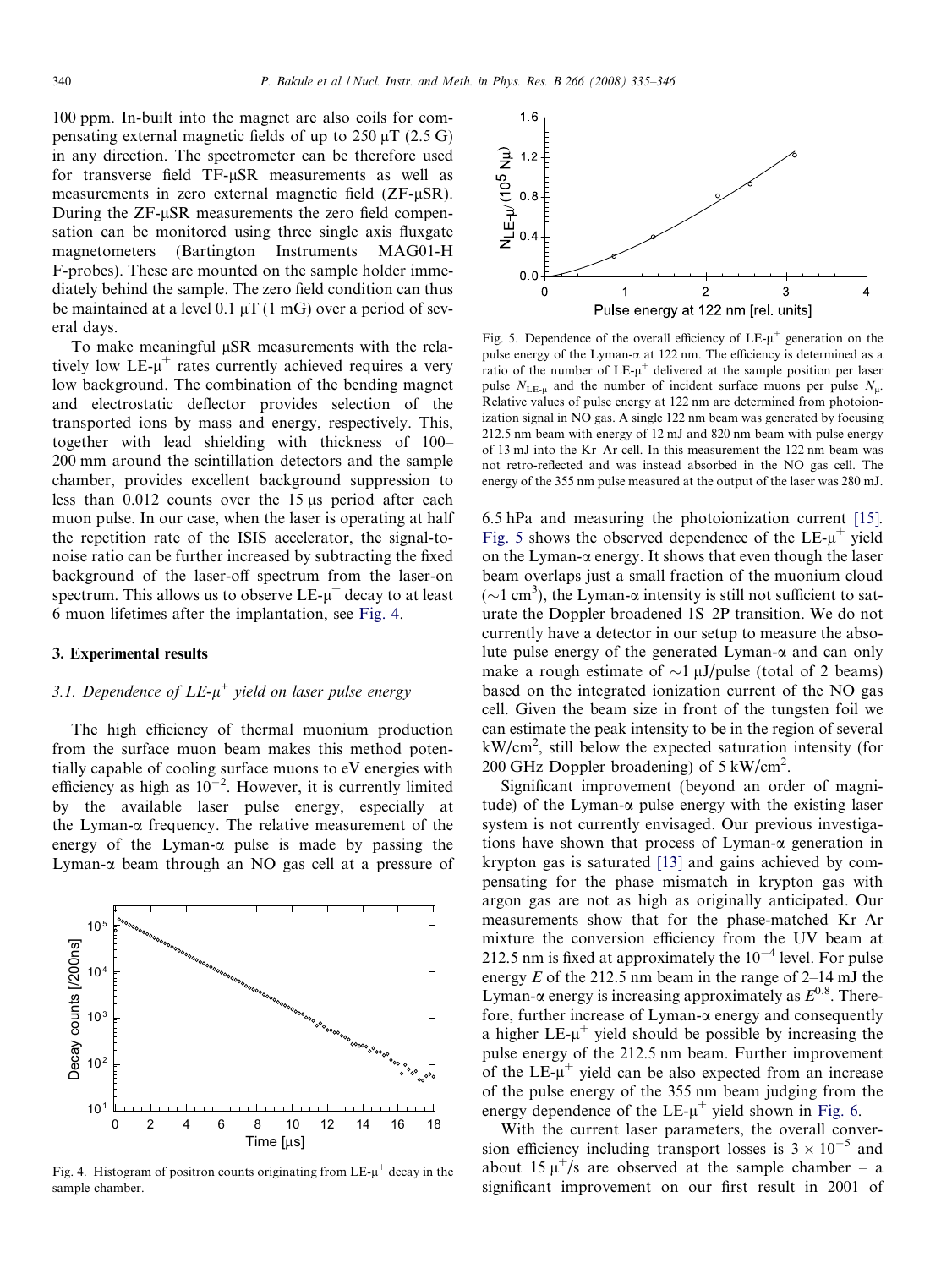<span id="page-5-0"></span>100 ppm. In-built into the magnet are also coils for compensating external magnetic fields of up to  $250 \mu T$  (2.5 G) in any direction. The spectrometer can be therefore used for transverse field TF-uSR measurements as well as measurements in zero external magnetic field (ZF-uSR). During the  $ZF-\mu SR$  measurements the zero field compensation can be monitored using three single axis fluxgate magnetometers (Bartington Instruments MAG01-H F-probes). These are mounted on the sample holder immediately behind the sample. The zero field condition can thus be maintained at a level  $0.1 \mu T (1 \text{ mG})$  over a period of several days.

To make meaningful  $\mu$ SR measurements with the relatively low  $LE-\mu^+$  rates currently achieved requires a very low background. The combination of the bending magnet and electrostatic deflector provides selection of the transported ions by mass and energy, respectively. This, together with lead shielding with thickness of 100– 200 mm around the scintillation detectors and the sample chamber, provides excellent background suppression to less than  $0.012$  counts over the 15  $\mu$ s period after each muon pulse. In our case, when the laser is operating at half the repetition rate of the ISIS accelerator, the signal-tonoise ratio can be further increased by subtracting the fixed background of the laser-off spectrum from the laser-on spectrum. This allows us to observe  $LE-\mu^+$  decay to at least 6 muon lifetimes after the implantation, see Fig. 4.

### 3. Experimental results

# 3.1. Dependence of  $LE-\mu^+$  yield on laser pulse energy

The high efficiency of thermal muonium production from the surface muon beam makes this method potentially capable of cooling surface muons to eV energies with efficiency as high as  $10^{-2}$ . However, it is currently limited by the available laser pulse energy, especially at the Lyman- $\alpha$  frequency. The relative measurement of the energy of the Lyman- $\alpha$  pulse is made by passing the Lyman- $\alpha$  beam through an NO gas cell at a pressure of



Fig. 4. Histogram of positron counts originating from  $LE-u^+$  decay in the sample chamber.



Fig. 5. Dependence of the overall efficiency of  $LE-u^+$  generation on the pulse energy of the Lyman- $\alpha$  at 122 nm. The efficiency is determined as a ratio of the number of  $LE$ - $\mu$ <sup>+</sup> delivered at the sample position per laser pulse  $N_{\text{LE-}\mu}$  and the number of incident surface muons per pulse  $N_{\mu}$ . Relative values of pulse energy at 122 nm are determined from photoionization signal in NO gas. A single 122 nm beam was generated by focusing 212.5 nm beam with energy of 12 mJ and 820 nm beam with pulse energy of 13 mJ into the Kr–Ar cell. In this measurement the 122 nm beam was not retro-reflected and was instead absorbed in the NO gas cell. The energy of the 355 nm pulse measured at the output of the laser was 280 mJ.

6.5 hPa and measuring the photoionization current [\[15\]](#page-11-0). Fig. 5 shows the observed dependence of the  $LE-\mu^+$  yield on the Lyman- $\alpha$  energy. It shows that even though the laser beam overlaps just a small fraction of the muonium cloud  $(\sim 1 \text{ cm}^3)$ , the Lyman- $\alpha$  intensity is still not sufficient to saturate the Doppler broadened 1S–2P transition. We do not currently have a detector in our setup to measure the absolute pulse energy of the generated Lyman- $\alpha$  and can only make a rough estimate of  $\sim$ 1  $\mu$ J/pulse (total of 2 beams) based on the integrated ionization current of the NO gas cell. Given the beam size in front of the tungsten foil we can estimate the peak intensity to be in the region of several kW/cm<sup>2</sup> , still below the expected saturation intensity (for 200 GHz Doppler broadening) of 5 kW/cm<sup>2</sup>.

Significant improvement (beyond an order of magnitude) of the Lyman- $\alpha$  pulse energy with the existing laser system is not currently envisaged. Our previous investigations have shown that process of Lyman-a generation in krypton gas is saturated [\[13\]](#page-11-0) and gains achieved by compensating for the phase mismatch in krypton gas with argon gas are not as high as originally anticipated. Our measurements show that for the phase-matched Kr–Ar mixture the conversion efficiency from the UV beam at 212.5 nm is fixed at approximately the  $10^{-4}$  level. For pulse energy  $E$  of the 212.5 nm beam in the range of 2–14 mJ the Lyman- $\alpha$  energy is increasing approximately as  $E^{0.8}$ . Therefore, further increase of Lyman-a energy and consequently a higher  $LE-\mu^+$  yield should be possible by increasing the pulse energy of the 212.5 nm beam. Further improvement of the  $LE-\mu^+$  yield can be also expected from an increase of the pulse energy of the 355 nm beam judging from the energy dependence of the  $LE-u^+$  yield shown in [Fig. 6.](#page-6-0)

With the current laser parameters, the overall conversion efficiency including transport losses is  $3 \times 10^{-5}$  and about 15  $\mu^+/s$  are observed at the sample chamber – a significant improvement on our first result in 2001 of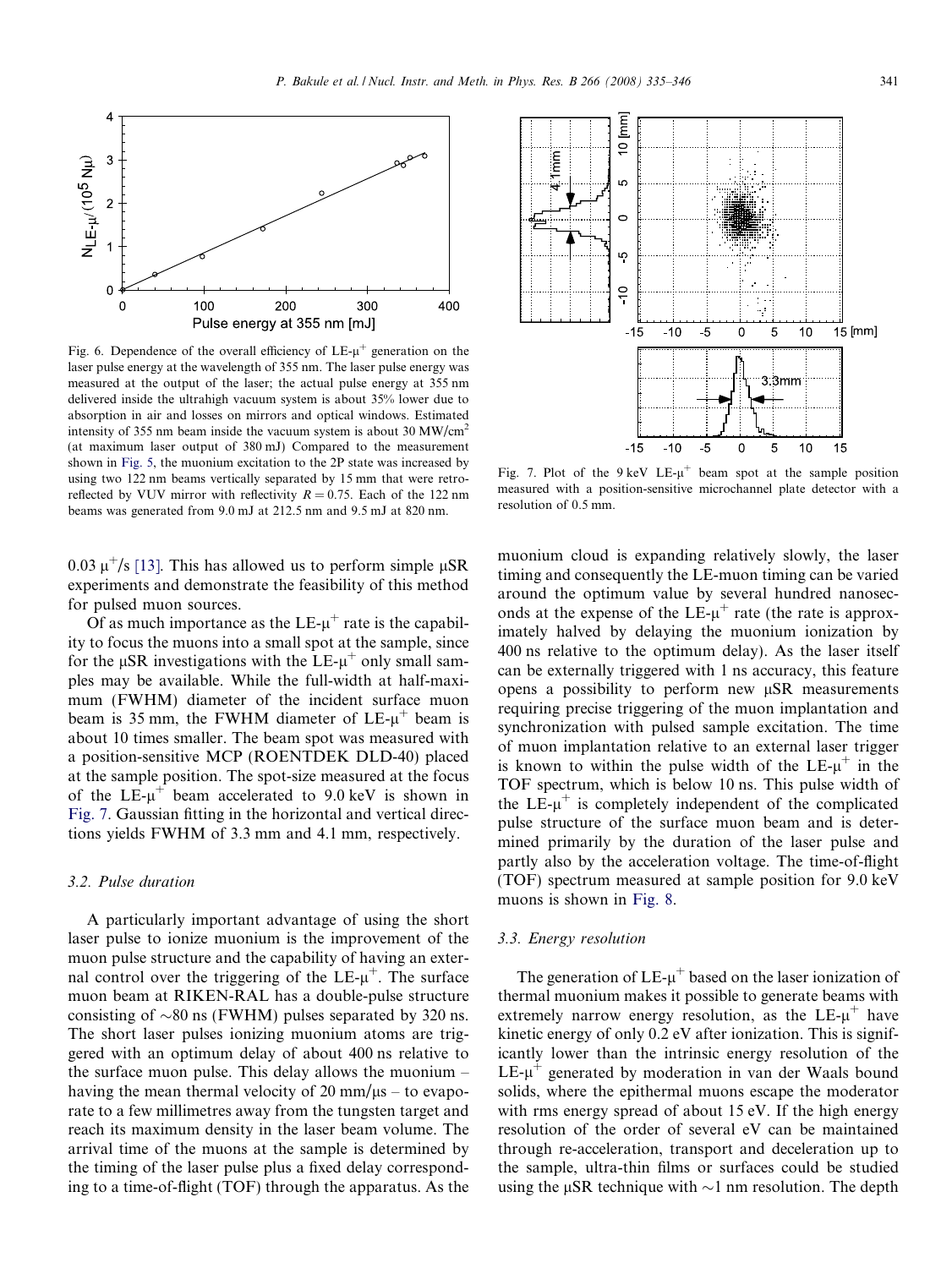<span id="page-6-0"></span>

Fig. 6. Dependence of the overall efficiency of  $LE-u^+$  generation on the laser pulse energy at the wavelength of 355 nm. The laser pulse energy was measured at the output of the laser; the actual pulse energy at 355 nm delivered inside the ultrahigh vacuum system is about 35% lower due to absorption in air and losses on mirrors and optical windows. Estimated intensity of 355 nm beam inside the vacuum system is about 30 MW/cm<sup>2</sup> (at maximum laser output of 380 mJ) Compared to the measurement shown in [Fig. 5,](#page-5-0) the muonium excitation to the 2P state was increased by using two 122 nm beams vertically separated by 15 mm that were retroreflected by VUV mirror with reflectivity  $R = 0.75$ . Each of the 122 nm beams was generated from 9.0 mJ at 212.5 nm and 9.5 mJ at 820 nm.

0.03  $\mu^+/s$  [\[13\].](#page-11-0) This has allowed us to perform simple  $\mu SR$ experiments and demonstrate the feasibility of this method for pulsed muon sources.

Of as much importance as the  $LE-u^+$  rate is the capability to focus the muons into a small spot at the sample, since for the  $\mu$ SR investigations with the LE- $\mu^+$  only small samples may be available. While the full-width at half-maximum (FWHM) diameter of the incident surface muon beam is 35 mm, the FWHM diameter of  $LE<sub>+</sub>$  beam is about 10 times smaller. The beam spot was measured with a position-sensitive MCP (ROENTDEK DLD-40) placed at the sample position. The spot-size measured at the focus of the LE- $\mu^+$  beam accelerated to 9.0 keV is shown in Fig. 7. Gaussian fitting in the horizontal and vertical directions yields FWHM of 3.3 mm and 4.1 mm, respectively.

## 3.2. Pulse duration

A particularly important advantage of using the short laser pulse to ionize muonium is the improvement of the muon pulse structure and the capability of having an external control over the triggering of the  $LE-\mu^{+}$ . The surface muon beam at RIKEN-RAL has a double-pulse structure consisting of  $\sim 80$  ns (FWHM) pulses separated by 320 ns. The short laser pulses ionizing muonium atoms are triggered with an optimum delay of about 400 ns relative to the surface muon pulse. This delay allows the muonium – having the mean thermal velocity of  $20 \text{ mm}/\mu s$  – to evaporate to a few millimetres away from the tungsten target and reach its maximum density in the laser beam volume. The arrival time of the muons at the sample is determined by the timing of the laser pulse plus a fixed delay corresponding to a time-of-flight (TOF) through the apparatus. As the



Fig. 7. Plot of the 9 keV LE- $\mu^+$  beam spot at the sample position measured with a position-sensitive microchannel plate detector with a resolution of 0.5 mm.

muonium cloud is expanding relatively slowly, the laser timing and consequently the LE-muon timing can be varied around the optimum value by several hundred nanoseconds at the expense of the LE- $\mu^+$  rate (the rate is approximately halved by delaying the muonium ionization by 400 ns relative to the optimum delay). As the laser itself can be externally triggered with 1 ns accuracy, this feature opens a possibility to perform new  $\mu$ SR measurements requiring precise triggering of the muon implantation and synchronization with pulsed sample excitation. The time of muon implantation relative to an external laser trigger is known to within the pulse width of the  $LE-u^+$  in the TOF spectrum, which is below 10 ns. This pulse width of the  $LE-\mu^+$  is completely independent of the complicated pulse structure of the surface muon beam and is determined primarily by the duration of the laser pulse and partly also by the acceleration voltage. The time-of-flight (TOF) spectrum measured at sample position for 9.0 keV muons is shown in [Fig. 8](#page-7-0).

### 3.3. Energy resolution

The generation of  $LE$ - $\mu^+$  based on the laser ionization of thermal muonium makes it possible to generate beams with extremely narrow energy resolution, as the  $LE-\mu^+$  have kinetic energy of only 0.2 eV after ionization. This is significantly lower than the intrinsic energy resolution of the  $LE-u^+$  generated by moderation in van der Waals bound solids, where the epithermal muons escape the moderator with rms energy spread of about 15 eV. If the high energy resolution of the order of several eV can be maintained through re-acceleration, transport and deceleration up to the sample, ultra-thin films or surfaces could be studied using the  $\mu$ SR technique with  $\sim$ 1 nm resolution. The depth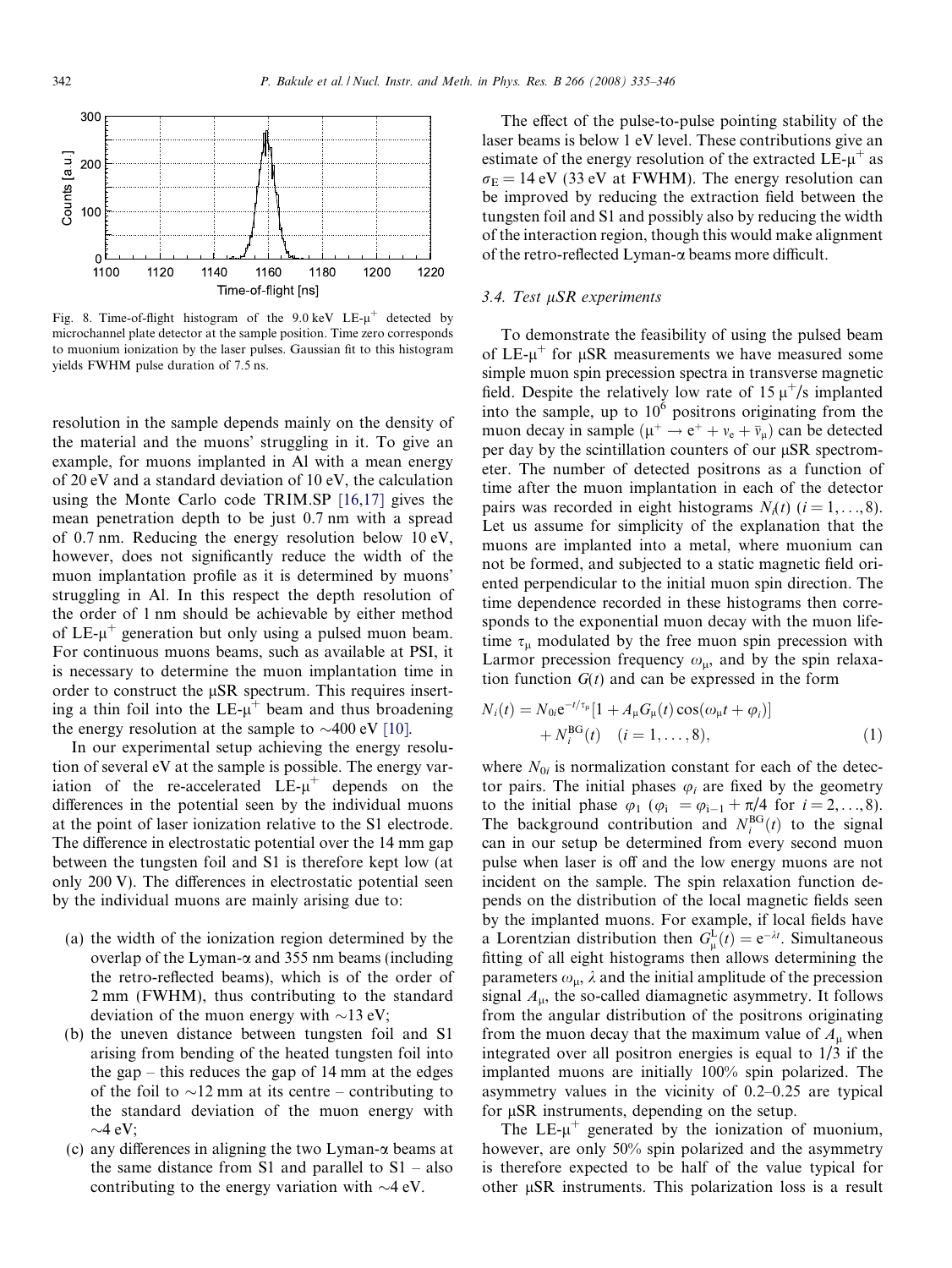<span id="page-7-0"></span>

Fig. 8. Time-of-flight histogram of the  $9.0 \text{ keV}$  LE- $\mu^+$  detected by microchannel plate detector at the sample position. Time zero corresponds to muonium ionization by the laser pulses. Gaussian fit to this histogram yields FWHM pulse duration of 7.5 ns.

resolution in the sample depends mainly on the density of the material and the muons' struggling in it. To give an example, for muons implanted in Al with a mean energy of 20 eV and a standard deviation of 10 eV, the calculation using the Monte Carlo code TRIM.SP [\[16,17\]](#page-11-0) gives the mean penetration depth to be just 0.7 nm with a spread of 0.7 nm. Reducing the energy resolution below 10 eV, however, does not significantly reduce the width of the muon implantation profile as it is determined by muons' struggling in Al. In this respect the depth resolution of the order of 1 nm should be achievable by either method of  $LE-u^+$  generation but only using a pulsed muon beam. For continuous muons beams, such as available at PSI, it is necessary to determine the muon implantation time in order to construct the  $\mu$ SR spectrum. This requires inserting a thin foil into the  $LE-\mu^+$  beam and thus broadening the energy resolution at the sample to  $\sim$ 400 eV [\[10\]](#page-11-0).

In our experimental setup achieving the energy resolution of several eV at the sample is possible. The energy variation of the re-accelerated  $LE-\mu^+$  depends on the differences in the potential seen by the individual muons at the point of laser ionization relative to the S1 electrode. The difference in electrostatic potential over the 14 mm gap between the tungsten foil and S1 is therefore kept low (at only 200 V). The differences in electrostatic potential seen by the individual muons are mainly arising due to:

- (a) the width of the ionization region determined by the overlap of the Lyman- $\alpha$  and 355 nm beams (including the retro-reflected beams), which is of the order of 2 mm (FWHM), thus contributing to the standard deviation of the muon energy with  $\sim$ 13 eV;
- (b) the uneven distance between tungsten foil and S1 arising from bending of the heated tungsten foil into the gap – this reduces the gap of 14 mm at the edges of the foil to  $\sim$ 12 mm at its centre – contributing to the standard deviation of the muon energy with  $\sim$ 4 eV;
- (c) any differences in aligning the two Lyman- $\alpha$  beams at the same distance from S1 and parallel to  $S1$  – also contributing to the energy variation with  $\sim$ 4 eV.

The effect of the pulse-to-pulse pointing stability of the laser beams is below 1 eV level. These contributions give an estimate of the energy resolution of the extracted  $LE<sub>-µ</sub>$ <sup>+</sup> as  $\sigma_{\rm E}$  = 14 eV (33 eV at FWHM). The energy resolution can be improved by reducing the extraction field between the tungsten foil and S1 and possibly also by reducing the width of the interaction region, though this would make alignment of the retro-reflected Lyman-a beams more difficult.

### $3.4.$  Test  $\mu SR$  experiments

To demonstrate the feasibility of using the pulsed beam of  $LE-u^+$  for  $\mu SR$  measurements we have measured some simple muon spin precession spectra in transverse magnetic field. Despite the relatively low rate of  $15 \mu^+/s$  implanted into the sample, up to  $10^6$  positrons originating from the muon decay in sample ( $\mu^+ \rightarrow e^+ + \nu_e + \bar{\nu}_\mu$ ) can be detected per day by the scintillation counters of our  $\mu$ SR spectrometer. The number of detected positrons as a function of time after the muon implantation in each of the detector pairs was recorded in eight histograms  $N_i(t)$  ( $i = 1, \ldots, 8$ ). Let us assume for simplicity of the explanation that the muons are implanted into a metal, where muonium can not be formed, and subjected to a static magnetic field oriented perpendicular to the initial muon spin direction. The time dependence recorded in these histograms then corresponds to the exponential muon decay with the muon lifetime  $\tau_{\mu}$  modulated by the free muon spin precession with Larmor precession frequency  $\omega_{\mu}$ , and by the spin relaxation function  $G(t)$  and can be expressed in the form

$$
N_i(t) = N_{0i} e^{-t/\tau_{\mu}} [1 + A_{\mu} G_{\mu}(t) \cos(\omega_{\mu} t + \varphi_i)] + N_i^{\text{BG}}(t) \quad (i = 1, ..., 8),
$$
 (1)

where  $N_{0i}$  is normalization constant for each of the detector pairs. The initial phases  $\varphi_i$  are fixed by the geometry to the initial phase  $\varphi_1$  ( $\varphi_i = \varphi_{i-1} + \pi/4$  for  $i = 2, ..., 8$ ). The background contribution and  $N_i^{BG}(t)$  to the signal can in our setup be determined from every second muon pulse when laser is off and the low energy muons are not incident on the sample. The spin relaxation function depends on the distribution of the local magnetic fields seen by the implanted muons. For example, if local fields have a Lorentzian distribution then  $G_{\mu}^{L}(t) = e^{-\lambda t}$ . Simultaneous fitting of all eight histograms then allows determining the parameters  $\omega_{\mu}$ ,  $\lambda$  and the initial amplitude of the precession signal  $A_{\mu}$ , the so-called diamagnetic asymmetry. It follows from the angular distribution of the positrons originating from the muon decay that the maximum value of  $A<sub>u</sub>$  when integrated over all positron energies is equal to 1/3 if the implanted muons are initially 100% spin polarized. The asymmetry values in the vicinity of 0.2–0.25 are typical for  $\mu$ SR instruments, depending on the setup.

The LE- $\mu^+$  generated by the ionization of muonium, however, are only 50% spin polarized and the asymmetry is therefore expected to be half of the value typical for other  $\mu$ SR instruments. This polarization loss is a result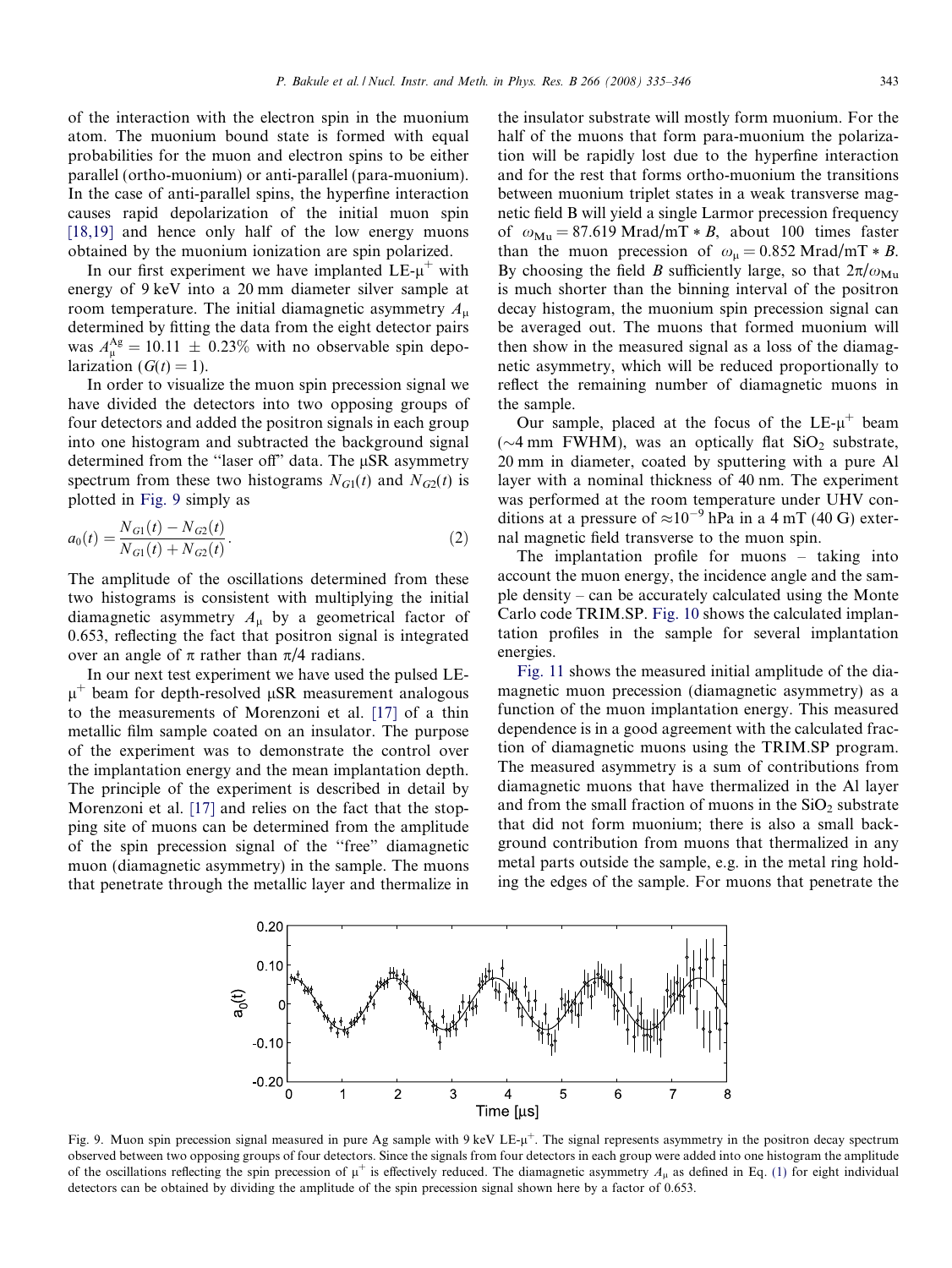of the interaction with the electron spin in the muonium atom. The muonium bound state is formed with equal probabilities for the muon and electron spins to be either parallel (ortho-muonium) or anti-parallel (para-muonium). In the case of anti-parallel spins, the hyperfine interaction causes rapid depolarization of the initial muon spin [\[18,19\]](#page-11-0) and hence only half of the low energy muons obtained by the muonium ionization are spin polarized.

In our first experiment we have implanted  $LE-\mu^+$  with energy of 9 keV into a 20 mm diameter silver sample at room temperature. The initial diamagnetic asymmetry  $A_{\mu}$ determined by fitting the data from the eight detector pairs was  $A_{\mu}^{\text{Ag}} = 10.11 \pm 0.23\%$  with no observable spin depolarization  $(G(t) = 1)$ .

In order to visualize the muon spin precession signal we have divided the detectors into two opposing groups of four detectors and added the positron signals in each group into one histogram and subtracted the background signal determined from the "laser off" data. The µSR asymmetry spectrum from these two histograms  $N_{G1}(t)$  and  $N_{G2}(t)$  is plotted in Fig. 9 simply as

$$
a_0(t) = \frac{N_{G1}(t) - N_{G2}(t)}{N_{G1}(t) + N_{G2}(t)}.
$$
\n(2)

The amplitude of the oscillations determined from these two histograms is consistent with multiplying the initial diamagnetic asymmetry  $A_{\mu}$  by a geometrical factor of 0.653, reflecting the fact that positron signal is integrated over an angle of  $\pi$  rather than  $\pi/4$  radians.

In our next test experiment we have used the pulsed LE- $\mu^+$  beam for depth-resolved  $\mu$ SR measurement analogous to the measurements of Morenzoni et al. [\[17\]](#page-11-0) of a thin metallic film sample coated on an insulator. The purpose of the experiment was to demonstrate the control over the implantation energy and the mean implantation depth. The principle of the experiment is described in detail by Morenzoni et al. [\[17\]](#page-11-0) and relies on the fact that the stopping site of muons can be determined from the amplitude of the spin precession signal of the ''free" diamagnetic muon (diamagnetic asymmetry) in the sample. The muons that penetrate through the metallic layer and thermalize in the insulator substrate will mostly form muonium. For the half of the muons that form para-muonium the polarization will be rapidly lost due to the hyperfine interaction and for the rest that forms ortho-muonium the transitions between muonium triplet states in a weak transverse magnetic field B will yield a single Larmor precession frequency of  $\omega_{\text{Mu}} = 87.619 \text{ Mrad/mT} * B$ , about 100 times faster than the muon precession of  $\omega_{\mu} = 0.852$  Mrad/mT  $*$  B. By choosing the field B sufficiently large, so that  $2\pi/\omega_{\text{Mu}}$ is much shorter than the binning interval of the positron decay histogram, the muonium spin precession signal can be averaged out. The muons that formed muonium will then show in the measured signal as a loss of the diamagnetic asymmetry, which will be reduced proportionally to reflect the remaining number of diamagnetic muons in the sample.

Our sample, placed at the focus of the  $LE-\mu^+$  beam ( $\sim$ 4 mm FWHM), was an optically flat SiO<sub>2</sub> substrate, 20 mm in diameter, coated by sputtering with a pure Al layer with a nominal thickness of 40 nm. The experiment was performed at the room temperature under UHV conditions at a pressure of  $\approx 10^{-9}$  hPa in a 4 mT (40 G) external magnetic field transverse to the muon spin.

The implantation profile for muons – taking into account the muon energy, the incidence angle and the sample density – can be accurately calculated using the Monte Carlo code TRIM.SP. [Fig. 10](#page-9-0) shows the calculated implantation profiles in the sample for several implantation energies.

[Fig. 11](#page-9-0) shows the measured initial amplitude of the diamagnetic muon precession (diamagnetic asymmetry) as a function of the muon implantation energy. This measured dependence is in a good agreement with the calculated fraction of diamagnetic muons using the TRIM.SP program. The measured asymmetry is a sum of contributions from diamagnetic muons that have thermalized in the Al layer and from the small fraction of muons in the  $SiO<sub>2</sub>$  substrate that did not form muonium; there is also a small background contribution from muons that thermalized in any metal parts outside the sample, e.g. in the metal ring holding the edges of the sample. For muons that penetrate the



Fig. 9. Muon spin precession signal measured in pure Ag sample with 9 keV LE- $\mu^+$ . The signal represents asymmetry in the positron decay spectrum observed between two opposing groups of four detectors. Since the signals from four detectors in each group were added into one histogram the amplitude of the oscillations reflecting the spin precession of  $\mu^+$  is effectively reduced. The diamagnetic asymmetry  $A_{\mu}$  as defined in Eq. [\(1\)](#page-7-0) for eight individual detectors can be obtained by dividing the amplitude of the spin precession signal shown here by a factor of 0.653.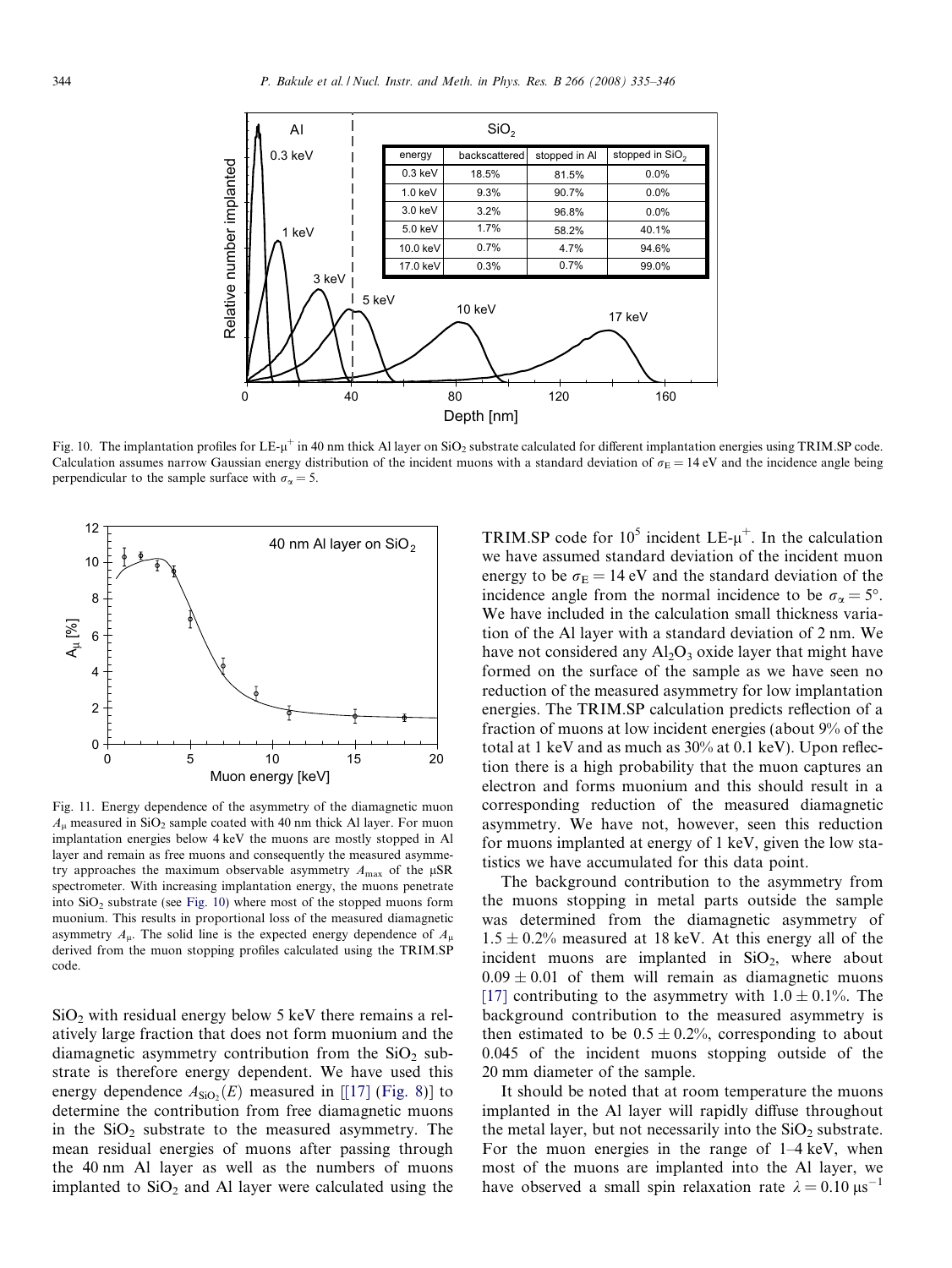<span id="page-9-0"></span>

Fig. 10. The implantation profiles for  $LE$ - $\mu^+$  in 40 nm thick Al layer on SiO<sub>2</sub> substrate calculated for different implantation energies using TRIM.SP code. Calculation assumes narrow Gaussian energy distribution of the incident muons with a standard deviation of  $\sigma_E = 14$  eV and the incidence angle being perpendicular to the sample surface with  $\sigma_{\alpha} = 5$ .



Fig. 11. Energy dependence of the asymmetry of the diamagnetic muon  $A_{\mu}$  measured in SiO<sub>2</sub> sample coated with 40 nm thick Al layer. For muon implantation energies below 4 keV the muons are mostly stopped in Al layer and remain as free muons and consequently the measured asymmetry approaches the maximum observable asymmetry  $A_{\text{max}}$  of the  $\mu$ SR spectrometer. With increasing implantation energy, the muons penetrate into  $SiO<sub>2</sub>$  substrate (see Fig. 10) where most of the stopped muons form muonium. This results in proportional loss of the measured diamagnetic asymmetry  $A_{\mu}$ . The solid line is the expected energy dependence of  $A_{\mu}$ derived from the muon stopping profiles calculated using the TRIM.SP code.

 $SiO<sub>2</sub>$  with residual energy below 5 keV there remains a relatively large fraction that does not form muonium and the diamagnetic asymmetry contribution from the  $SiO<sub>2</sub>$  substrate is therefore energy dependent. We have used this energy dependence  $A_{SiO_2}(E)$  measured in [[\[17\]](#page-11-0) ([Fig. 8\)](#page-7-0)] to determine the contribution from free diamagnetic muons in the  $SiO<sub>2</sub>$  substrate to the measured asymmetry. The mean residual energies of muons after passing through the 40 nm Al layer as well as the numbers of muons implanted to  $SiO<sub>2</sub>$  and Al layer were calculated using the TRIM.SP code for  $10^5$  incident LE- $\mu^+$ . In the calculation we have assumed standard deviation of the incident muon energy to be  $\sigma_{\rm E} = 14$  eV and the standard deviation of the incidence angle from the normal incidence to be  $\sigma_{\alpha} = 5^{\circ}$ . We have included in the calculation small thickness variation of the Al layer with a standard deviation of 2 nm. We have not considered any  $Al_2O_3$  oxide layer that might have formed on the surface of the sample as we have seen no reduction of the measured asymmetry for low implantation energies. The TRIM.SP calculation predicts reflection of a fraction of muons at low incident energies (about 9% of the total at 1 keV and as much as 30% at 0.1 keV). Upon reflection there is a high probability that the muon captures an electron and forms muonium and this should result in a corresponding reduction of the measured diamagnetic asymmetry. We have not, however, seen this reduction for muons implanted at energy of 1 keV, given the low statistics we have accumulated for this data point.

The background contribution to the asymmetry from the muons stopping in metal parts outside the sample was determined from the diamagnetic asymmetry of  $1.5 \pm 0.2\%$  measured at 18 keV. At this energy all of the incident muons are implanted in  $SiO<sub>2</sub>$ , where about  $0.09 \pm 0.01$  of them will remain as diamagnetic muons [\[17\]](#page-11-0) contributing to the asymmetry with  $1.0 \pm 0.1\%$ . The background contribution to the measured asymmetry is then estimated to be  $0.5 \pm 0.2$ %, corresponding to about 0.045 of the incident muons stopping outside of the 20 mm diameter of the sample.

It should be noted that at room temperature the muons implanted in the Al layer will rapidly diffuse throughout the metal layer, but not necessarily into the  $SiO<sub>2</sub>$  substrate. For the muon energies in the range of 1–4 keV, when most of the muons are implanted into the Al layer, we have observed a small spin relaxation rate  $\lambda = 0.10 \,\mu s^{-1}$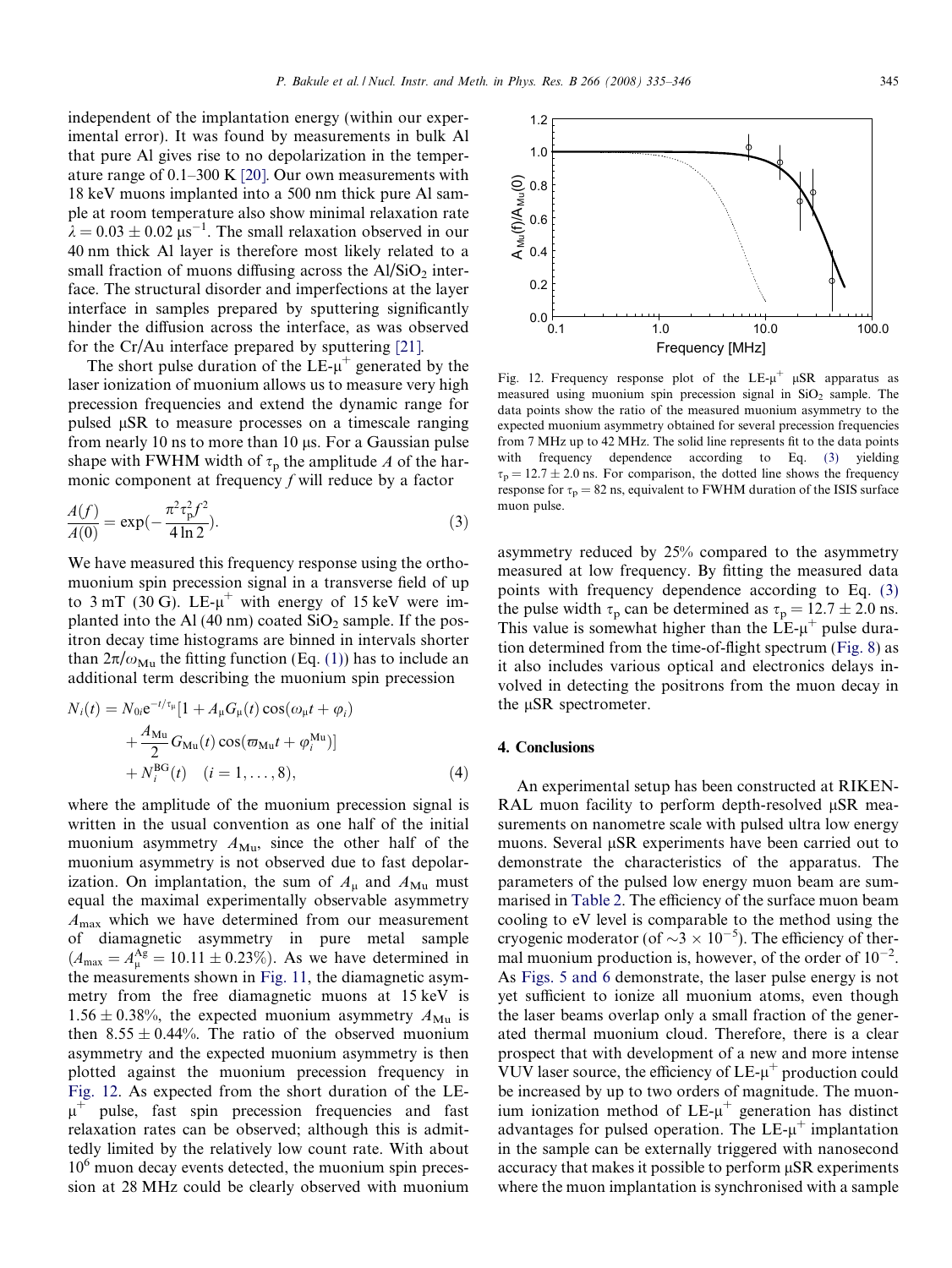independent of the implantation energy (within our experimental error). It was found by measurements in bulk Al that pure Al gives rise to no depolarization in the temperature range of 0.1–300 K [\[20\]](#page-11-0). Our own measurements with 18 keV muons implanted into a 500 nm thick pure Al sample at room temperature also show minimal relaxation rate  $\lambda = 0.03 \pm 0.02 \text{ }\mu\text{s}^{-1}$ . The small relaxation observed in our 40 nm thick Al layer is therefore most likely related to a small fraction of muons diffusing across the  $Al/SiO<sub>2</sub>$  interface. The structural disorder and imperfections at the layer interface in samples prepared by sputtering significantly hinder the diffusion across the interface, as was observed for the Cr/Au interface prepared by sputtering [\[21\]](#page-11-0).

The short pulse duration of the  $LE<sub>-µ</sub><sup>+</sup>$  generated by the laser ionization of muonium allows us to measure very high precession frequencies and extend the dynamic range for pulsed  $\mu$ SR to measure processes on a timescale ranging from nearly 10 ns to more than 10  $\mu$ s. For a Gaussian pulse shape with FWHM width of  $\tau_p$  the amplitude A of the harmonic component at frequency  $f$  will reduce by a factor

$$
\frac{A(f)}{A(0)} = \exp(-\frac{\pi^2 \tau_p^2 f^2}{4 \ln 2}).
$$
\n(3)

We have measured this frequency response using the orthomuonium spin precession signal in a transverse field of up to  $3 \text{ mT}$  (30 G). LE- $\mu^+$  with energy of 15 keV were implanted into the Al (40 nm) coated  $SiO<sub>2</sub>$  sample. If the positron decay time histograms are binned in intervals shorter than  $2\pi/\omega_{\text{Mu}}$  the fitting function (Eq. [\(1\)](#page-7-0)) has to include an additional term describing the muonium spin precession

$$
N_i(t) = N_{0i}e^{-t/\tau_{\mu}}[1 + A_{\mu}G_{\mu}(t)\cos(\omega_{\mu}t + \varphi_i)+ \frac{A_{\text{Mu}}}{2}G_{\text{Mu}}(t)\cos(\varpi_{\text{Mu}}t + \varphi_i^{\text{Mu}})]+ N_i^{\text{BG}}(t) \quad (i = 1, ..., 8),
$$
 (4)

where the amplitude of the muonium precession signal is written in the usual convention as one half of the initial muonium asymmetry  $A_{\text{Mu}}$ , since the other half of the muonium asymmetry is not observed due to fast depolarization. On implantation, the sum of  $A_\mu$  and  $A_{\mu\nu}$  must equal the maximal experimentally observable asymmetry  $A_{\text{max}}$  which we have determined from our measurement of diamagnetic asymmetry in pure metal sample  $(A_{\text{max}} = A_{\mu}^{\text{Ag}} = 10.11 \pm 0.23\%).$  As we have determined in the measurements shown in [Fig. 11](#page-9-0), the diamagnetic asymmetry from the free diamagnetic muons at 15 keV is  $1.56 \pm 0.38\%$ , the expected muonium asymmetry  $A_{\text{Mu}}$  is then  $8.55 \pm 0.44$ %. The ratio of the observed muonium asymmetry and the expected muonium asymmetry is then plotted against the muonium precession frequency in Fig. 12. As expected from the short duration of the LE- $\mu^+$  pulse, fast spin precession frequencies and fast relaxation rates can be observed; although this is admittedly limited by the relatively low count rate. With about  $10<sup>6</sup>$  muon decay events detected, the muonium spin precession at 28 MHz could be clearly observed with muonium



Fig. 12. Frequency response plot of the  $LE-\mu^+$   $\mu SR$  apparatus as measured using muonium spin precession signal in  $SiO<sub>2</sub>$  sample. The data points show the ratio of the measured muonium asymmetry to the expected muonium asymmetry obtained for several precession frequencies from 7 MHz up to 42 MHz. The solid line represents fit to the data points with frequency dependence according to Eq. (3) yielding  $\tau_p = 12.7 \pm 2.0$  ns. For comparison, the dotted line shows the frequency response for  $\tau_p = 82$  ns, equivalent to FWHM duration of the ISIS surface muon pulse.

asymmetry reduced by 25% compared to the asymmetry measured at low frequency. By fitting the measured data points with frequency dependence according to Eq. (3) the pulse width  $\tau_p$  can be determined as  $\tau_p = 12.7 \pm 2.0$  ns. This value is somewhat higher than the  $LE<sub>-µ</sub><sup>+</sup>$  pulse duration determined from the time-of-flight spectrum ([Fig. 8\)](#page-7-0) as it also includes various optical and electronics delays involved in detecting the positrons from the muon decay in the  $\mu$ SR spectrometer.

### 4. Conclusions

An experimental setup has been constructed at RIKEN-RAL muon facility to perform depth-resolved  $\mu$ SR measurements on nanometre scale with pulsed ultra low energy muons. Several  $\mu$ SR experiments have been carried out to demonstrate the characteristics of the apparatus. The parameters of the pulsed low energy muon beam are summarised in [Table 2.](#page-11-0) The efficiency of the surface muon beam cooling to eV level is comparable to the method using the cryogenic moderator (of  $\sim$ 3  $\times$  10<sup>-5</sup>). The efficiency of thermal muonium production is, however, of the order of  $10^{-2}$ . As [Figs. 5 and 6](#page-5-0) demonstrate, the laser pulse energy is not yet sufficient to ionize all muonium atoms, even though the laser beams overlap only a small fraction of the generated thermal muonium cloud. Therefore, there is a clear prospect that with development of a new and more intense VUV laser source, the efficiency of  $LE-\mu^+$  production could be increased by up to two orders of magnitude. The muonium ionization method of  $LE-u^+$  generation has distinct advantages for pulsed operation. The  $LE-\mu^+$  implantation in the sample can be externally triggered with nanosecond accuracy that makes it possible to perform  $\mu$ SR experiments where the muon implantation is synchronised with a sample